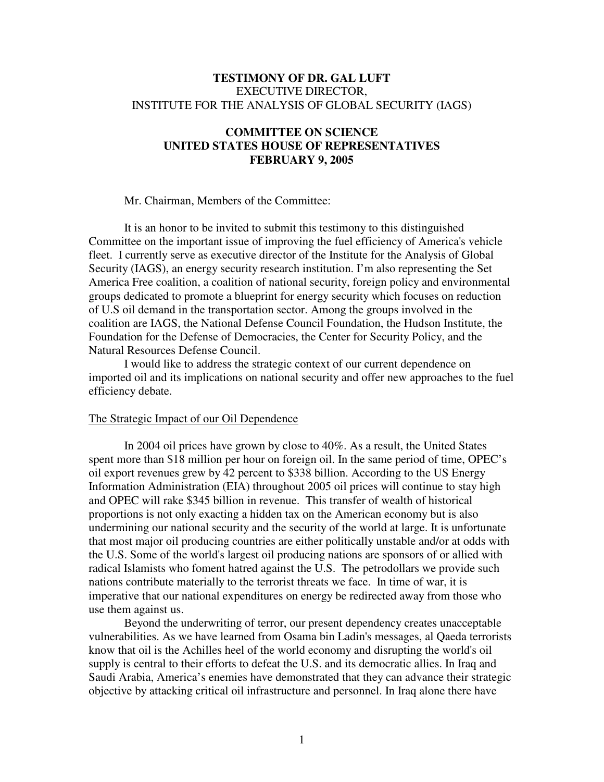### **TESTIMONY OF DR. GAL LUFT** EXECUTIVE DIRECTOR, INSTITUTE FOR THE ANALYSIS OF GLOBAL SECURITY (IAGS)

# **COMMITTEE ON SCIENCE UNITED STATES HOUSE OF REPRESENTATIVES FEBRUARY 9, 2005**

Mr. Chairman, Members of the Committee:

It is an honor to be invited to submit this testimony to this distinguished Committee on the important issue of improving the fuel efficiency of America's vehicle fleet. I currently serve as executive director of the Institute for the Analysis of Global Security (IAGS), an energy security research institution. I'm also representing the Set America Free coalition, a coalition of national security, foreign policy and environmental groups dedicated to promote a blueprint for energy security which focuses on reduction of U.S oil demand in the transportation sector. Among the groups involved in the coalition are IAGS, the National Defense Council Foundation, the Hudson Institute, the Foundation for the Defense of Democracies, the Center for Security Policy, and the Natural Resources Defense Council.

I would like to address the strategic context of our current dependence on imported oil and its implications on national security and offer new approaches to the fuel efficiency debate.

### The Strategic Impact of our Oil Dependence

In 2004 oil prices have grown by close to 40%. As a result, the United States spent more than \$18 million per hour on foreign oil. In the same period of time, OPEC's oil export revenues grew by 42 percent to \$338 billion. According to the US Energy Information Administration (EIA) throughout 2005 oil prices will continue to stay high and OPEC will rake \$345 billion in revenue. This transfer of wealth of historical proportions is not only exacting a hidden tax on the American economy but is also undermining our national security and the security of the world at large. It is unfortunate that most major oil producing countries are either politically unstable and/or at odds with the U.S. Some of the world's largest oil producing nations are sponsors of or allied with radical Islamists who foment hatred against the U.S. The petrodollars we provide such nations contribute materially to the terrorist threats we face. In time of war, it is imperative that our national expenditures on energy be redirected away from those who use them against us.

Beyond the underwriting of terror, our present dependency creates unacceptable vulnerabilities. As we have learned from Osama bin Ladin's messages, al Qaeda terrorists know that oil is the Achilles heel of the world economy and disrupting the world's oil supply is central to their efforts to defeat the U.S. and its democratic allies. In Iraq and Saudi Arabia, America's enemies have demonstrated that they can advance their strategic objective by attacking critical oil infrastructure and personnel. In Iraq alone there have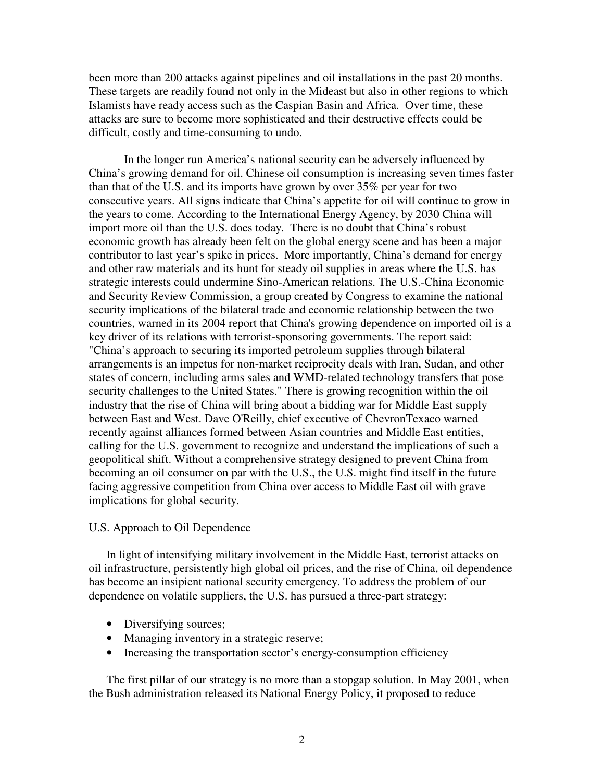been more than 200 attacks against pipelines and oil installations in the past 20 months. These targets are readily found not only in the Mideast but also in other regions to which Islamists have ready access such as the Caspian Basin and Africa. Over time, these attacks are sure to become more sophisticated and their destructive effects could be difficult, costly and time-consuming to undo.

In the longer run America's national security can be adversely influenced by China's growing demand for oil. Chinese oil consumption is increasing seven times faster than that of the U.S. and its imports have grown by over 35% per year for two consecutive years. All signs indicate that China's appetite for oil will continue to grow in the years to come. According to the International Energy Agency, by 2030 China will import more oil than the U.S. does today. There is no doubt that China's robust economic growth has already been felt on the global energy scene and has been a major contributor to last year's spike in prices. More importantly, China's demand for energy and other raw materials and its hunt for steady oil supplies in areas where the U.S. has strategic interests could undermine Sino-American relations. The U.S.-China Economic and Security Review Commission, a group created by Congress to examine the national security implications of the bilateral trade and economic relationship between the two countries, warned in its 2004 report that China's growing dependence on imported oil is a key driver of its relations with terrorist-sponsoring governments. The report said: "China's approach to securing its imported petroleum supplies through bilateral arrangements is an impetus for non-market reciprocity deals with Iran, Sudan, and other states of concern, including arms sales and WMD-related technology transfers that pose security challenges to the United States." There is growing recognition within the oil industry that the rise of China will bring about a bidding war for Middle East supply between East and West. Dave O'Reilly, chief executive of ChevronTexaco warned recently against alliances formed between Asian countries and Middle East entities, calling for the U.S. government to recognize and understand the implications of such a geopolitical shift. Without a comprehensive strategy designed to prevent China from becoming an oil consumer on par with the U.S., the U.S. might find itself in the future facing aggressive competition from China over access to Middle East oil with grave implications for global security.

#### U.S. Approach to Oil Dependence

In light of intensifying military involvement in the Middle East, terrorist attacks on oil infrastructure, persistently high global oil prices, and the rise of China, oil dependence has become an insipient national security emergency. To address the problem of our dependence on volatile suppliers, the U.S. has pursued a three-part strategy:

- Diversifying sources;
- Managing inventory in a strategic reserve;
- Increasing the transportation sector's energy-consumption efficiency

The first pillar of our strategy is no more than a stopgap solution. In May 2001, when the Bush administration released its National Energy Policy, it proposed to reduce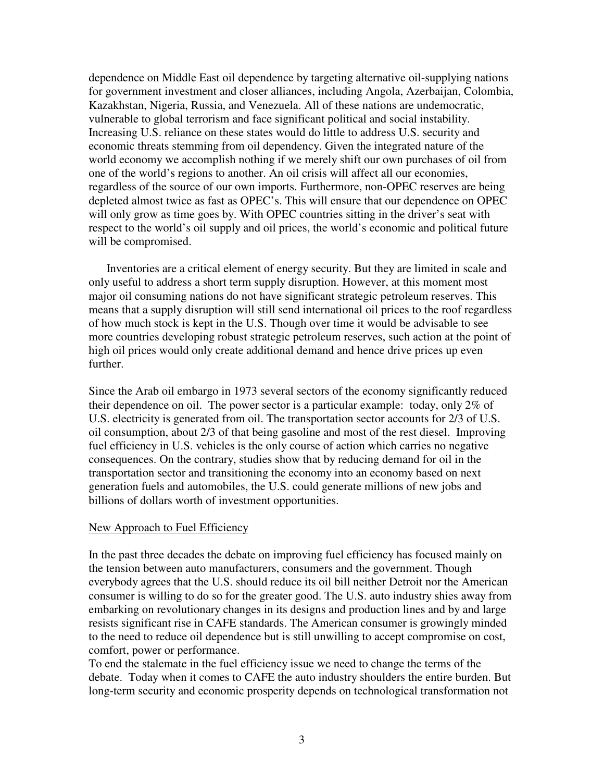dependence on Middle East oil dependence by targeting alternative oil-supplying nations for government investment and closer alliances, including Angola, Azerbaijan, Colombia, Kazakhstan, Nigeria, Russia, and Venezuela. All of these nations are undemocratic, vulnerable to global terrorism and face significant political and social instability. Increasing U.S. reliance on these states would do little to address U.S. security and economic threats stemming from oil dependency. Given the integrated nature of the world economy we accomplish nothing if we merely shift our own purchases of oil from one of the world's regions to another. An oil crisis will affect all our economies, regardless of the source of our own imports. Furthermore, non-OPEC reserves are being depleted almost twice as fast as OPEC's. This will ensure that our dependence on OPEC will only grow as time goes by. With OPEC countries sitting in the driver's seat with respect to the world's oil supply and oil prices, the world's economic and political future will be compromised.

Inventories are a critical element of energy security. But they are limited in scale and only useful to address a short term supply disruption. However, at this moment most major oil consuming nations do not have significant strategic petroleum reserves. This means that a supply disruption will still send international oil prices to the roof regardless of how much stock is kept in the U.S. Though over time it would be advisable to see more countries developing robust strategic petroleum reserves, such action at the point of high oil prices would only create additional demand and hence drive prices up even further.

Since the Arab oil embargo in 1973 several sectors of the economy significantly reduced their dependence on oil. The power sector is a particular example: today, only 2% of U.S. electricity is generated from oil. The transportation sector accounts for 2/3 of U.S. oil consumption, about 2/3 of that being gasoline and most of the rest diesel. Improving fuel efficiency in U.S. vehicles is the only course of action which carries no negative consequences. On the contrary, studies show that by reducing demand for oil in the transportation sector and transitioning the economy into an economy based on next generation fuels and automobiles, the U.S. could generate millions of new jobs and billions of dollars worth of investment opportunities.

#### New Approach to Fuel Efficiency

In the past three decades the debate on improving fuel efficiency has focused mainly on the tension between auto manufacturers, consumers and the government. Though everybody agrees that the U.S. should reduce its oil bill neither Detroit nor the American consumer is willing to do so for the greater good. The U.S. auto industry shies away from embarking on revolutionary changes in its designs and production lines and by and large resists significant rise in CAFE standards. The American consumer is growingly minded to the need to reduce oil dependence but is still unwilling to accept compromise on cost, comfort, power or performance.

To end the stalemate in the fuel efficiency issue we need to change the terms of the debate. Today when it comes to CAFE the auto industry shoulders the entire burden. But long-term security and economic prosperity depends on technological transformation not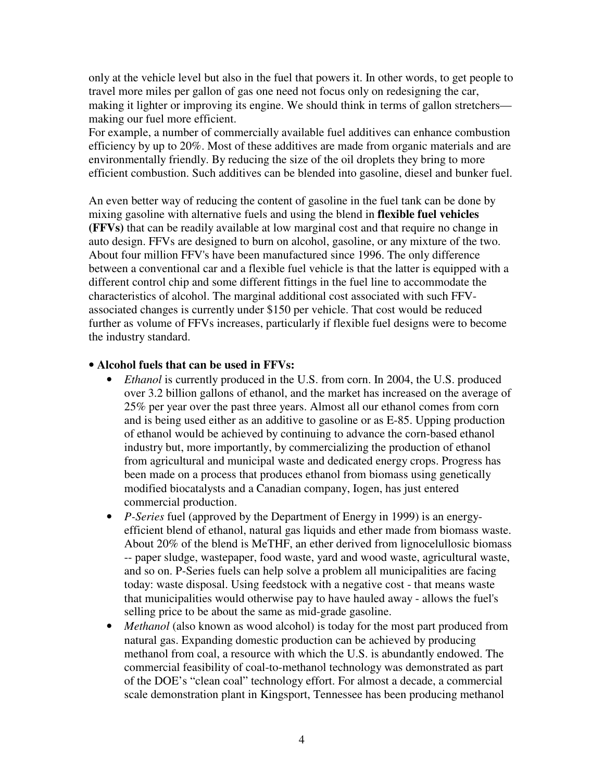only at the vehicle level but also in the fuel that powers it. In other words, to get people to travel more miles per gallon of gas one need not focus only on redesigning the car, making it lighter or improving its engine. We should think in terms of gallon stretchers making our fuel more efficient.

For example, a number of commercially available fuel additives can enhance combustion efficiency by up to 20%. Most of these additives are made from organic materials and are environmentally friendly. By reducing the size of the oil droplets they bring to more efficient combustion. Such additives can be blended into gasoline, diesel and bunker fuel.

An even better way of reducing the content of gasoline in the fuel tank can be done by mixing gasoline with alternative fuels and using the blend in **flexible fuel vehicles (FFVs)** that can be readily available at low marginal cost and that require no change in auto design. FFVs are designed to burn on alcohol, gasoline, or any mixture of the two. About four million FFV's have been manufactured since 1996. The only difference between a conventional car and a flexible fuel vehicle is that the latter is equipped with a different control chip and some different fittings in the fuel line to accommodate the characteristics of alcohol. The marginal additional cost associated with such FFVassociated changes is currently under \$150 per vehicle. That cost would be reduced further as volume of FFVs increases, particularly if flexible fuel designs were to become the industry standard.

## • **Alcohol fuels that can be used in FFVs:**

- *Ethanol* is currently produced in the U.S. from corn. In 2004, the U.S. produced over 3.2 billion gallons of ethanol, and the market has increased on the average of 25% per year over the past three years. Almost all our ethanol comes from corn and is being used either as an additive to gasoline or as E-85. Upping production of ethanol would be achieved by continuing to advance the corn-based ethanol industry but, more importantly, by commercializing the production of ethanol from agricultural and municipal waste and dedicated energy crops. Progress has been made on a process that produces ethanol from biomass using genetically modified biocatalysts and a Canadian company, Iogen, has just entered commercial production.
- *P-Series* fuel (approved by the Department of Energy in 1999) is an energyefficient blend of ethanol, natural gas liquids and ether made from biomass waste. About 20% of the blend is MeTHF, an ether derived from lignocelullosic biomass -- paper sludge, wastepaper, food waste, yard and wood waste, agricultural waste, and so on. P-Series fuels can help solve a problem all municipalities are facing today: waste disposal. Using feedstock with a negative cost - that means waste that municipalities would otherwise pay to have hauled away - allows the fuel's selling price to be about the same as mid-grade gasoline.
- *Methanol* (also known as wood alcohol) is today for the most part produced from natural gas. Expanding domestic production can be achieved by producing methanol from coal, a resource with which the U.S. is abundantly endowed. The commercial feasibility of coal-to-methanol technology was demonstrated as part of the DOE's "clean coal" technology effort. For almost a decade, a commercial scale demonstration plant in Kingsport, Tennessee has been producing methanol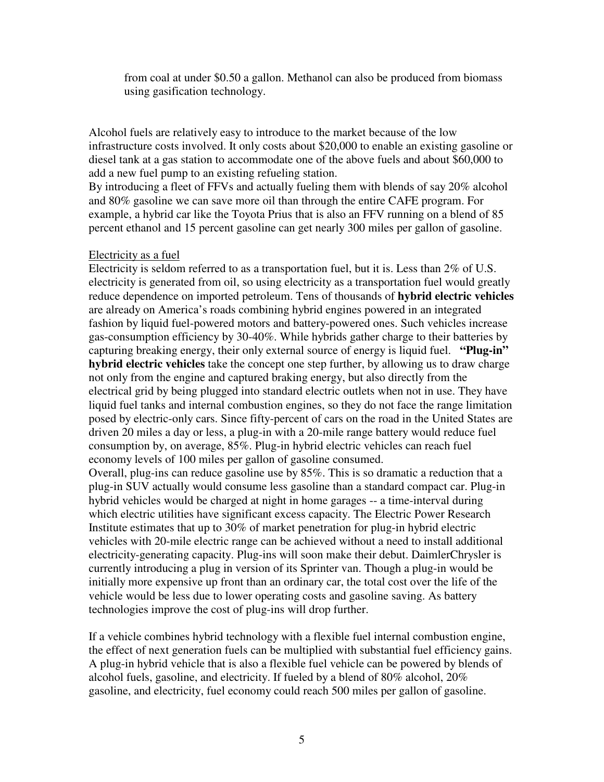from coal at under \$0.50 a gallon. Methanol can also be produced from biomass using gasification technology.

Alcohol fuels are relatively easy to introduce to the market because of the low infrastructure costs involved. It only costs about \$20,000 to enable an existing gasoline or diesel tank at a gas station to accommodate one of the above fuels and about \$60,000 to add a new fuel pump to an existing refueling station.

By introducing a fleet of FFVs and actually fueling them with blends of say 20% alcohol and 80% gasoline we can save more oil than through the entire CAFE program. For example, a hybrid car like the Toyota Prius that is also an FFV running on a blend of 85 percent ethanol and 15 percent gasoline can get nearly 300 miles per gallon of gasoline.

## Electricity as a fuel

Electricity is seldom referred to as a transportation fuel, but it is. Less than 2% of U.S. electricity is generated from oil, so using electricity as a transportation fuel would greatly reduce dependence on imported petroleum. Tens of thousands of **hybrid electric vehicles** are already on America's roads combining hybrid engines powered in an integrated fashion by liquid fuel-powered motors and battery-powered ones. Such vehicles increase gas-consumption efficiency by 30-40%. While hybrids gather charge to their batteries by capturing breaking energy, their only external source of energy is liquid fuel. **"Plug-in" hybrid electric vehicles** take the concept one step further, by allowing us to draw charge not only from the engine and captured braking energy, but also directly from the electrical grid by being plugged into standard electric outlets when not in use. They have liquid fuel tanks and internal combustion engines, so they do not face the range limitation posed by electric-only cars. Since fifty-percent of cars on the road in the United States are driven 20 miles a day or less, a plug-in with a 20-mile range battery would reduce fuel consumption by, on average, 85%. Plug-in hybrid electric vehicles can reach fuel economy levels of 100 miles per gallon of gasoline consumed.

Overall, plug-ins can reduce gasoline use by 85%. This is so dramatic a reduction that a plug-in SUV actually would consume less gasoline than a standard compact car. Plug-in hybrid vehicles would be charged at night in home garages -- a time-interval during which electric utilities have significant excess capacity. The Electric Power Research Institute estimates that up to 30% of market penetration for plug-in hybrid electric vehicles with 20-mile electric range can be achieved without a need to install additional electricity-generating capacity. Plug-ins will soon make their debut. DaimlerChrysler is currently introducing a plug in version of its Sprinter van. Though a plug-in would be initially more expensive up front than an ordinary car, the total cost over the life of the vehicle would be less due to lower operating costs and gasoline saving. As battery technologies improve the cost of plug-ins will drop further.

If a vehicle combines hybrid technology with a flexible fuel internal combustion engine, the effect of next generation fuels can be multiplied with substantial fuel efficiency gains. A plug-in hybrid vehicle that is also a flexible fuel vehicle can be powered by blends of alcohol fuels, gasoline, and electricity. If fueled by a blend of 80% alcohol, 20% gasoline, and electricity, fuel economy could reach 500 miles per gallon of gasoline.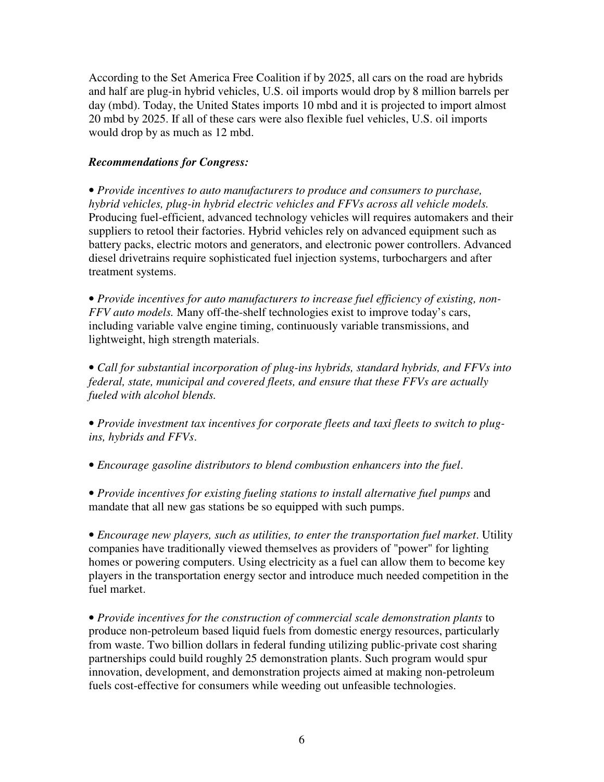According to the Set America Free Coalition if by 2025, all cars on the road are hybrids and half are plug-in hybrid vehicles, U.S. oil imports would drop by 8 million barrels per day (mbd). Today, the United States imports 10 mbd and it is projected to import almost 20 mbd by 2025. If all of these cars were also flexible fuel vehicles, U.S. oil imports would drop by as much as 12 mbd.

# *Recommendations for Congress:*

• *Provide incentives to auto manufacturers to produce and consumers to purchase, hybrid vehicles, plug-in hybrid electric vehicles and FFVs across all vehicle models.* Producing fuel-efficient, advanced technology vehicles will requires automakers and their suppliers to retool their factories. Hybrid vehicles rely on advanced equipment such as battery packs, electric motors and generators, and electronic power controllers. Advanced diesel drivetrains require sophisticated fuel injection systems, turbochargers and after treatment systems.

• *Provide incentives for auto manufacturers to increase fuel efficiency of existing, non-FFV auto models.* Many off-the-shelf technologies exist to improve today's cars, including variable valve engine timing, continuously variable transmissions, and lightweight, high strength materials.

• *Call for substantial incorporation of plug-ins hybrids, standard hybrids, and FFVs into federal, state, municipal and covered fleets, and ensure that these FFVs are actually fueled with alcohol blends.*

• *Provide investment tax incentives for corporate fleets and taxi fleets to switch to plugins, hybrids and FFVs*.

• *Encourage gasoline distributors to blend combustion enhancers into the fuel*.

• *Provide incentives for existing fueling stations to install alternative fuel pumps* and mandate that all new gas stations be so equipped with such pumps.

• *Encourage new players, such as utilities, to enter the transportation fuel market*. Utility companies have traditionally viewed themselves as providers of "power" for lighting homes or powering computers. Using electricity as a fuel can allow them to become key players in the transportation energy sector and introduce much needed competition in the fuel market.

• *Provide incentives for the construction of commercial scale demonstration plants* to produce non-petroleum based liquid fuels from domestic energy resources, particularly from waste. Two billion dollars in federal funding utilizing public-private cost sharing partnerships could build roughly 25 demonstration plants. Such program would spur innovation, development, and demonstration projects aimed at making non-petroleum fuels cost-effective for consumers while weeding out unfeasible technologies.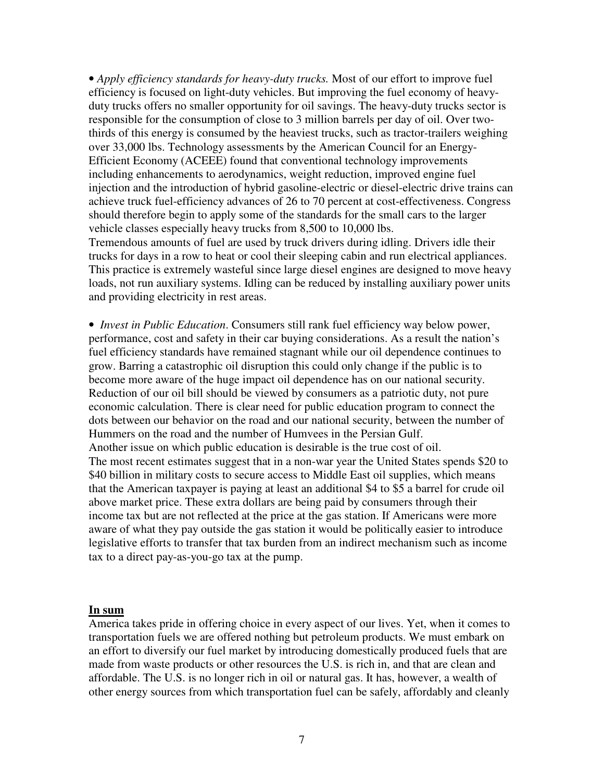• *Apply efficiency standards for heavy-duty trucks.* Most of our effort to improve fuel efficiency is focused on light-duty vehicles. But improving the fuel economy of heavyduty trucks offers no smaller opportunity for oil savings. The heavy-duty trucks sector is responsible for the consumption of close to 3 million barrels per day of oil. Over twothirds of this energy is consumed by the heaviest trucks, such as tractor-trailers weighing over 33,000 lbs. Technology assessments by the American Council for an Energy-Efficient Economy (ACEEE) found that conventional technology improvements including enhancements to aerodynamics, weight reduction, improved engine fuel injection and the introduction of hybrid gasoline-electric or diesel-electric drive trains can achieve truck fuel-efficiency advances of 26 to 70 percent at cost-effectiveness. Congress should therefore begin to apply some of the standards for the small cars to the larger vehicle classes especially heavy trucks from 8,500 to 10,000 lbs.

Tremendous amounts of fuel are used by truck drivers during idling. Drivers idle their trucks for days in a row to heat or cool their sleeping cabin and run electrical appliances. This practice is extremely wasteful since large diesel engines are designed to move heavy loads, not run auxiliary systems. Idling can be reduced by installing auxiliary power units and providing electricity in rest areas.

• *Invest in Public Education*. Consumers still rank fuel efficiency way below power, performance, cost and safety in their car buying considerations. As a result the nation's fuel efficiency standards have remained stagnant while our oil dependence continues to grow. Barring a catastrophic oil disruption this could only change if the public is to become more aware of the huge impact oil dependence has on our national security. Reduction of our oil bill should be viewed by consumers as a patriotic duty, not pure economic calculation. There is clear need for public education program to connect the dots between our behavior on the road and our national security, between the number of Hummers on the road and the number of Humvees in the Persian Gulf. Another issue on which public education is desirable is the true cost of oil. The most recent estimates suggest that in a non-war year the United States spends \$20 to \$40 billion in military costs to secure access to Middle East oil supplies, which means that the American taxpayer is paying at least an additional \$4 to \$5 a barrel for crude oil above market price. These extra dollars are being paid by consumers through their income tax but are not reflected at the price at the gas station. If Americans were more aware of what they pay outside the gas station it would be politically easier to introduce legislative efforts to transfer that tax burden from an indirect mechanism such as income tax to a direct pay-as-you-go tax at the pump.

#### **In sum**

America takes pride in offering choice in every aspect of our lives. Yet, when it comes to transportation fuels we are offered nothing but petroleum products. We must embark on an effort to diversify our fuel market by introducing domestically produced fuels that are made from waste products or other resources the U.S. is rich in, and that are clean and affordable. The U.S. is no longer rich in oil or natural gas. It has, however, a wealth of other energy sources from which transportation fuel can be safely, affordably and cleanly